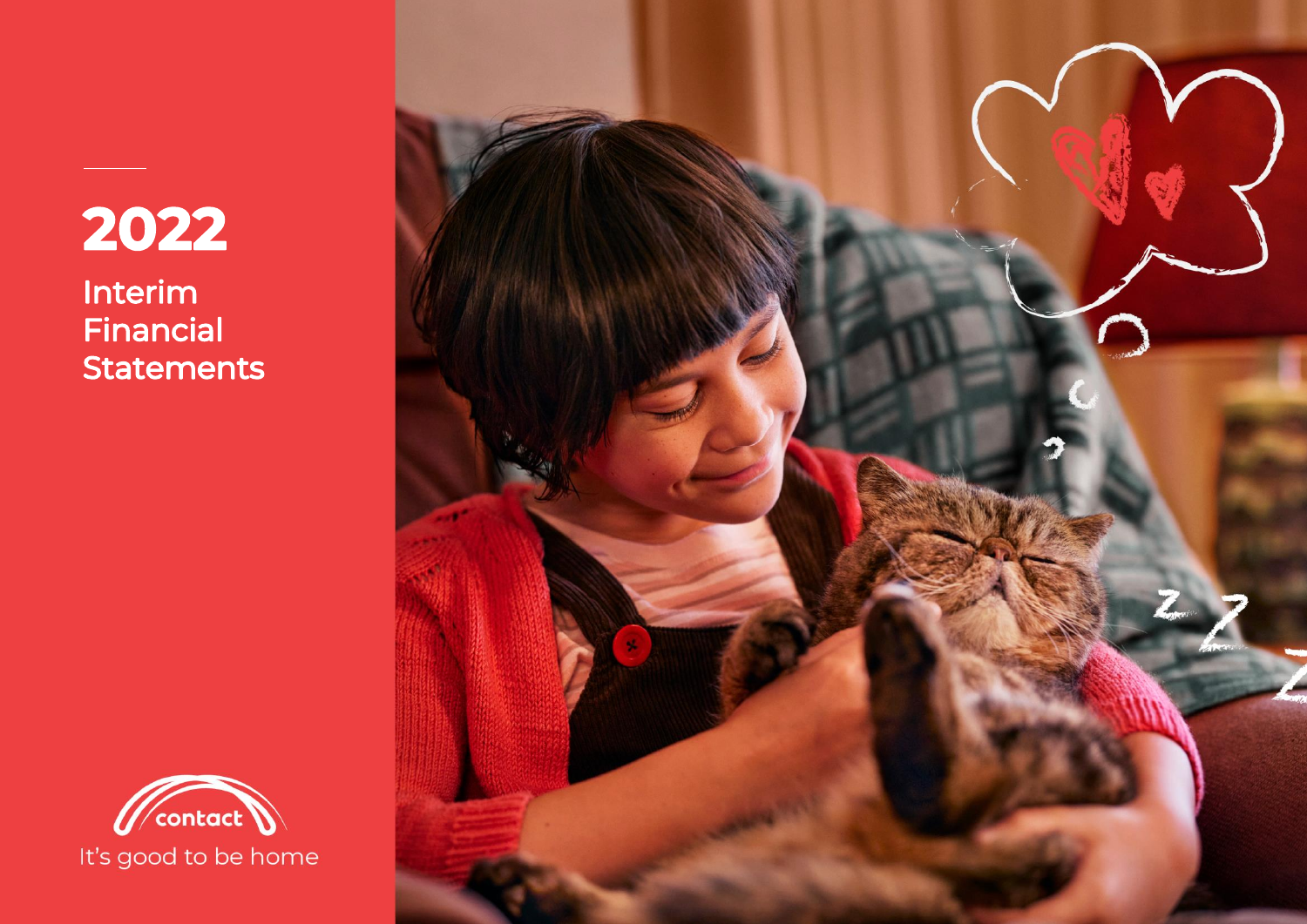# 2022

Interim Financial **Statements** 



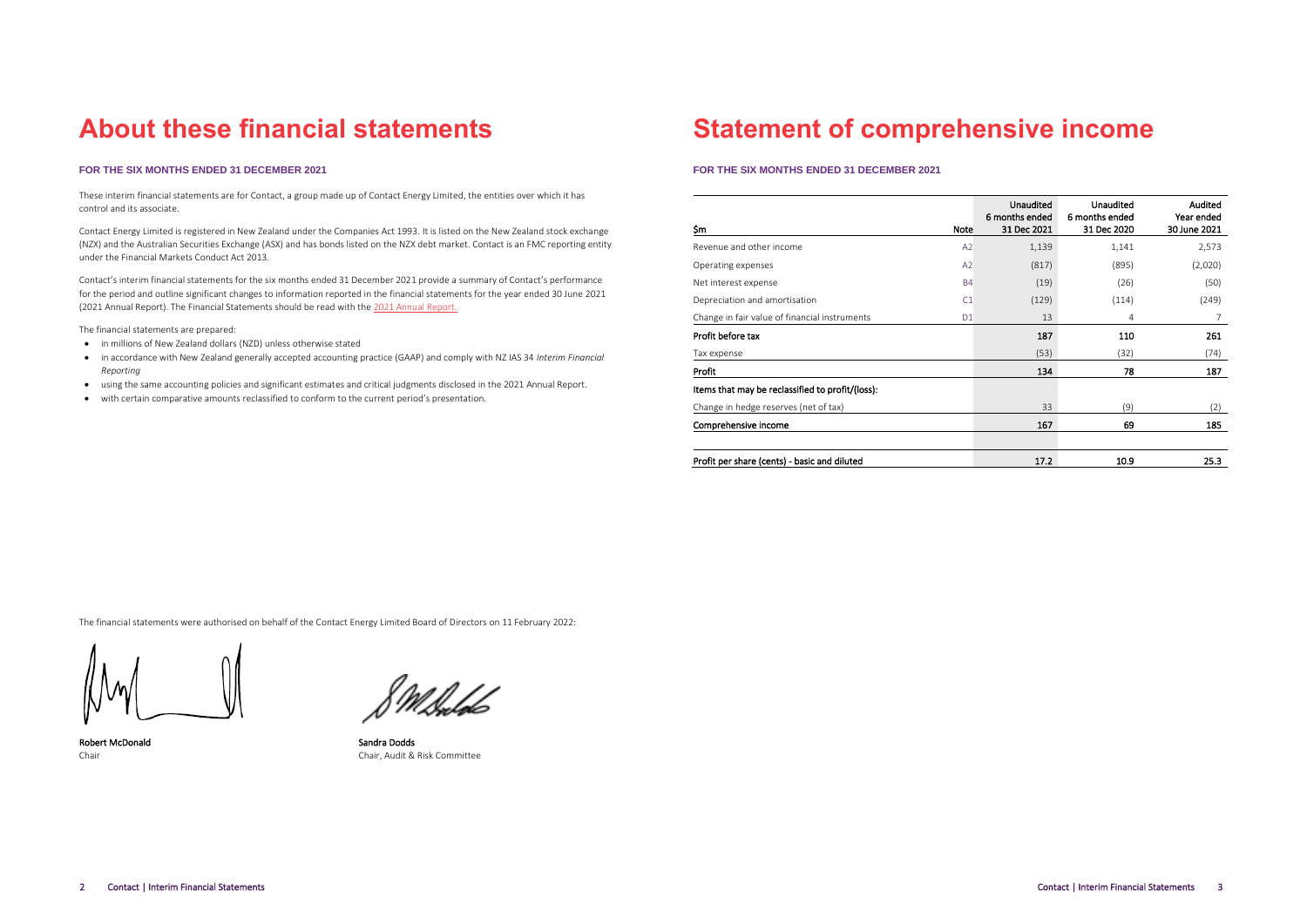### **About these financial statements**

### **FOR THE SIX MONTHS ENDED 31 DECEMBER 2021**

These interim financial statements are for Contact, a group made up of Contact Energy Limited, the entities over which it has control and its associate.

Contact Energy Limited is registered in New Zealand under the Companies Act 1993. It is listed on the New Zealand stock exchange (NZX) and the Australian Securities Exchange (ASX) and has bonds listed on the NZX debt market. Contact is an FMC reporting entity under the Financial Markets Conduct Act 2013.

Contact's interim financial statements for the six months ended 31 December 2021 provide a summary of Contact's performance for the period and outline significant changes to information reported in the financial statements for the year ended 30 June 2021 (2021 Annual Report). The Financial Statements should be read with th[e 2021 Annual Report.](https://contact.co.nz/-/media/contact/mediacentre/annual-and-half-year-reports/2021-integrated-report)

The financial statements are prepared:

- in millions of New Zealand dollars (NZD) unless otherwise stated
- in accordance with New Zealand generally accepted accounting practice (GAAP) and comply with NZ IAS 34 *Interim Financial Reporting*
- using the same accounting policies and significant estimates and critical judgments disclosed in the 2021 Annual Report.
- with certain comparative amounts reclassified to conform to the current period's presentation.

### **Statement of comprehensive income**

### **FOR THE SIX MONTHS ENDED 31 DECEMBER 2021**

| \$m                                              | <b>Note</b>    | <b>Unaudited</b><br>6 months ended<br><b>31 Dec 2021</b> | <b>Unaudited</b><br>6 months ended<br>31 Dec 2020 | Audited<br>Year ended<br>30 June 2021 |
|--------------------------------------------------|----------------|----------------------------------------------------------|---------------------------------------------------|---------------------------------------|
| Revenue and other income                         | A <sub>2</sub> | 1,139                                                    | 1,141                                             | 2,573                                 |
| Operating expenses                               | A <sub>2</sub> | (817)                                                    | (895)                                             | (2,020)                               |
| Net interest expense                             | <b>B4</b>      | (19)                                                     | (26)                                              | (50)                                  |
| Depreciation and amortisation                    | C1             | (129)                                                    | (114)                                             | (249)                                 |
| Change in fair value of financial instruments    | D <sub>1</sub> | 13                                                       | 4                                                 | 7                                     |
| Profit before tax                                |                | 187                                                      | 110                                               | 261                                   |
| Tax expense                                      |                | (53)                                                     | (32)                                              | (74)                                  |
| Profit                                           |                | 134                                                      | 78                                                | 187                                   |
| Items that may be reclassified to profit/(loss): |                |                                                          |                                                   |                                       |
| Change in hedge reserves (net of tax)            |                | 33                                                       | (9)                                               | (2)                                   |
| Comprehensive income                             |                | 167                                                      | 69                                                | 185                                   |
| Profit per share (cents) - basic and diluted     |                | 17.2                                                     | 10.9                                              | 25.3                                  |

The financial statements were authorised on behalf of the Contact Energy Limited Board of Directors on 11 February 2022:

Robert McDonald **Sandra Dodds** Sandra Dodds Chair Chair, Audit & Risk Committee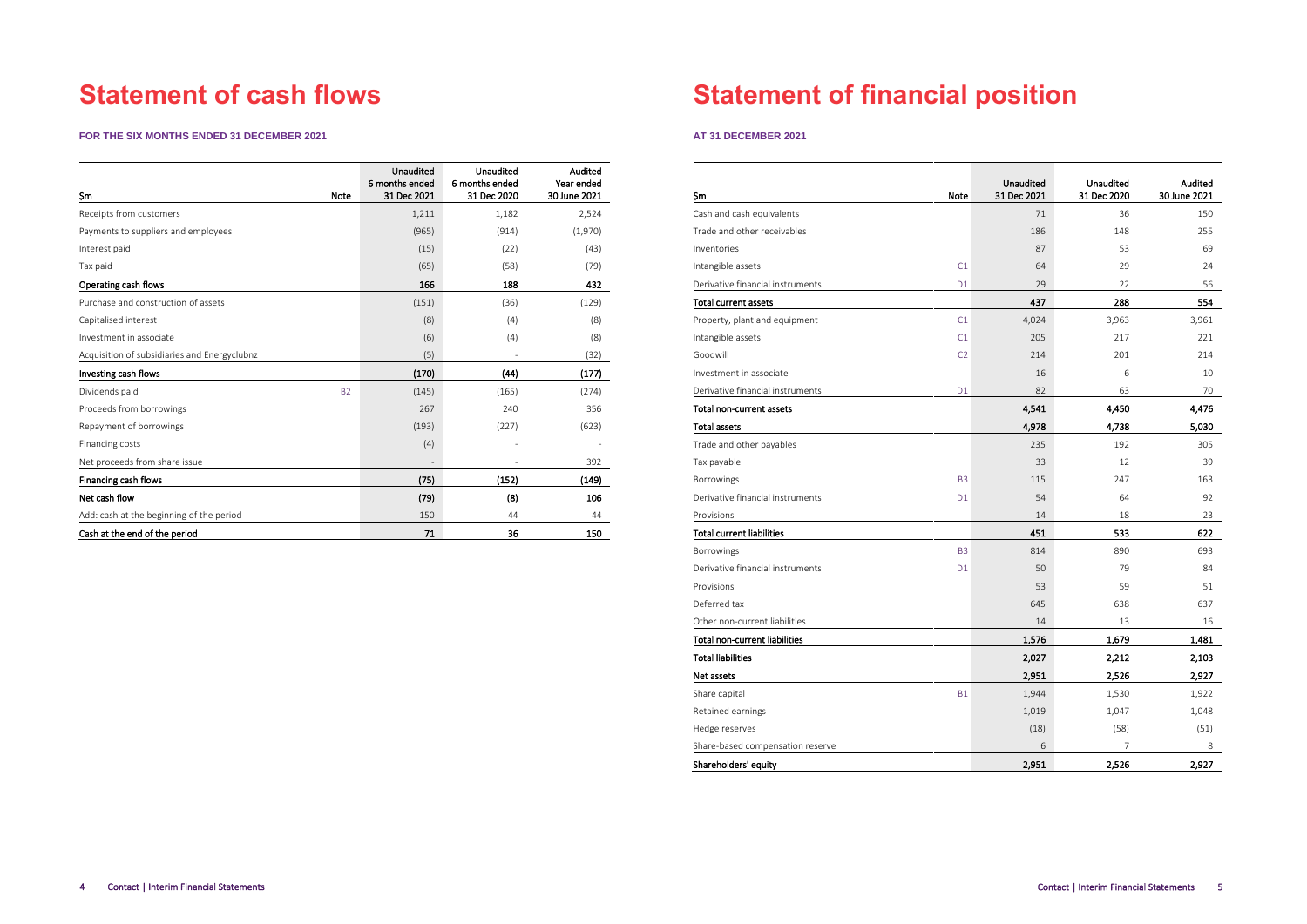# **Statement of cash flows**

### **FOR THE SIX MONTHS ENDED 31 DECEMBER 2021**

| <b>Sm</b><br><b>Note</b>                     | Unaudited<br>6 months ended<br>31 Dec 2021 | <b>Unaudited</b><br>6 months ended<br>31 Dec 2020 | Audited<br>Year ended<br>30 June 2021 |
|----------------------------------------------|--------------------------------------------|---------------------------------------------------|---------------------------------------|
| Receipts from customers                      | 1,211                                      | 1,182                                             | 2,524                                 |
| Payments to suppliers and employees          | (965)                                      | (914)                                             | (1,970)                               |
| Interest paid                                | (15)                                       | (22)                                              | (43)                                  |
| Tax paid                                     | (65)                                       | (58)                                              | (79)                                  |
| Operating cash flows                         | 166                                        | 188                                               | 432                                   |
| Purchase and construction of assets          | (151)                                      | (36)                                              | (129)                                 |
| Capitalised interest                         | (8)                                        | (4)                                               | (8)                                   |
| Investment in associate                      | (6)                                        | (4)                                               | (8)                                   |
| Acquisition of subsidiaries and Energyclubnz | (5)                                        |                                                   | (32)                                  |
| Investing cash flows                         | (170)                                      | (44)                                              | (177)                                 |
| Dividends paid                               | <b>B2</b><br>(145)                         | (165)                                             | (274)                                 |
| Proceeds from borrowings                     | 267                                        | 240                                               | 356                                   |
| Repayment of borrowings                      | (193)                                      | (227)                                             | (623)                                 |
| Financing costs                              | (4)                                        |                                                   |                                       |
| Net proceeds from share issue                |                                            |                                                   | 392                                   |
| Financing cash flows                         | (75)                                       | (152)                                             | (149)                                 |
| Net cash flow                                | (79)                                       | (8)                                               | 106                                   |
| Add: cash at the beginning of the period     | 150                                        | 44                                                | 44                                    |
| Cash at the end of the period                | 71                                         | 36                                                | 150                                   |

# **Statement of financial position**

### **AT 31 DECEMBER 2021**

|                                      |                | Unaudited   | <b>Unaudited</b> | Audited      |
|--------------------------------------|----------------|-------------|------------------|--------------|
| \$m                                  | Note           | 31 Dec 2021 | 31 Dec 2020      | 30 June 2021 |
| Cash and cash equivalents            |                | 71          | 36               | 150          |
| Trade and other receivables          |                | 186         | 148              | 255          |
| Inventories                          |                | 87          | 53               | 69           |
| Intangible assets                    | C1             | 64          | 29               | 24           |
| Derivative financial instruments     | D <sub>1</sub> | 29          | 22               | 56           |
| <b>Total current assets</b>          |                | 437         | 288              | 554          |
| Property, plant and equipment        | C1             | 4,024       | 3,963            | 3,961        |
| Intangible assets                    | C1             | 205         | 217              | 221          |
| Goodwill                             | C <sub>2</sub> | 214         | 201              | 214          |
| Investment in associate              |                | 16          | 6                | 10           |
| Derivative financial instruments     | D <sub>1</sub> | 82          | 63               | 70           |
| Total non-current assets             |                | 4,541       | 4,450            | 4,476        |
| <b>Total assets</b>                  |                | 4,978       | 4,738            | 5,030        |
| Trade and other payables             |                | 235         | 192              | 305          |
| Tax payable                          |                | 33          | 12               | 39           |
| Borrowings                           | B <sub>3</sub> | 115         | 247              | 163          |
| Derivative financial instruments     | D <sub>1</sub> | 54          | 64               | 92           |
| Provisions                           |                | 14          | 18               | 23           |
| <b>Total current liabilities</b>     |                | 451         | 533              | 622          |
| Borrowings                           | B <sub>3</sub> | 814         | 890              | 693          |
| Derivative financial instruments     | D <sub>1</sub> | 50          | 79               | 84           |
| Provisions                           |                | 53          | 59               | 51           |
| Deferred tax                         |                | 645         | 638              | 637          |
| Other non-current liabilities        |                | 14          | 13               | 16           |
| <b>Total non-current liabilities</b> |                | 1,576       | 1,679            | 1,481        |
| <b>Total liabilities</b>             |                | 2,027       | 2,212            | 2,103        |
| Net assets                           |                | 2,951       | 2,526            | 2,927        |
| Share capital                        | <b>B1</b>      | 1,944       | 1,530            | 1,922        |
| Retained earnings                    |                | 1,019       | 1,047            | 1,048        |
| Hedge reserves                       |                | (18)        | (58)             | (51)         |
| Share-based compensation reserve     |                | 6           | 7                | 8            |
| Shareholders equity                  |                | 2,951       | 2,526            | 2,927        |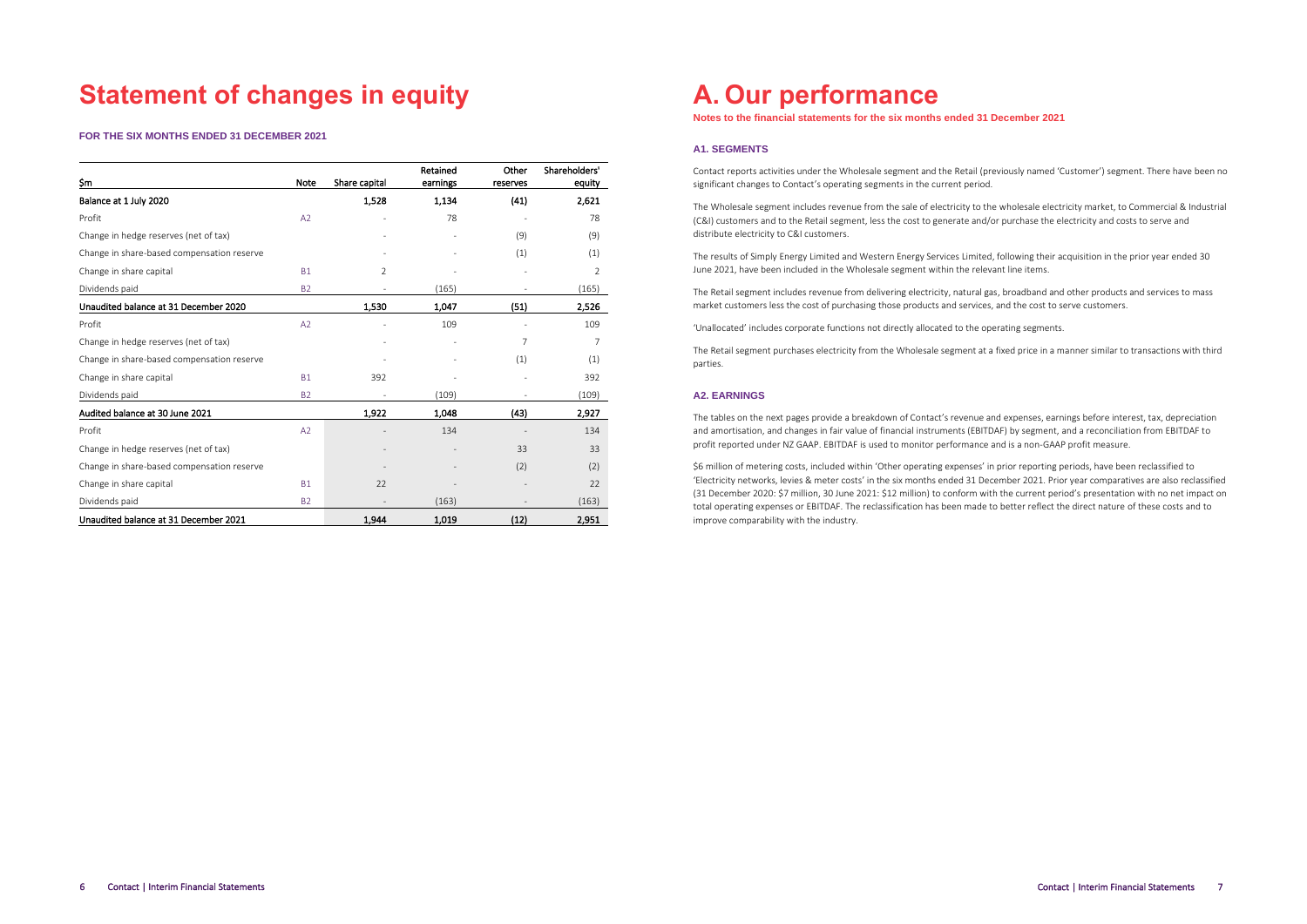# **Statement of changes in equity**

**FOR THE SIX MONTHS ENDED 31 DECEMBER 2021**

| Şm                                         | Note      | Share capital            | Retained<br>earnings | Other<br>reserves | Shareholders'<br>equity |
|--------------------------------------------|-----------|--------------------------|----------------------|-------------------|-------------------------|
| Balance at 1 July 2020                     |           | 1,528                    | 1,134                | (41)              | 2,621                   |
| Profit                                     | A2        |                          | 78                   |                   | 78                      |
| Change in hedge reserves (net of tax)      |           |                          |                      | (9)               | (9)                     |
| Change in share-based compensation reserve |           |                          |                      | (1)               | (1)                     |
| Change in share capital                    | <b>B1</b> | $\overline{2}$           |                      |                   | 2                       |
| Dividends paid                             | <b>B2</b> |                          | (165)                |                   | (165)                   |
| Unaudited balance at 31 December 2020      |           | 1,530                    | 1,047                | (51)              | 2,526                   |
| Profit                                     | A2        |                          | 109                  |                   | 109                     |
| Change in hedge reserves (net of tax)      |           |                          |                      | 7                 | 7                       |
| Change in share-based compensation reserve |           |                          |                      | (1)               | (1)                     |
| Change in share capital                    | <b>B1</b> | 392                      |                      |                   | 392                     |
| Dividends paid                             | <b>B2</b> | $\overline{\phantom{m}}$ | (109)                |                   | (109)                   |
| Audited balance at 30 June 2021            |           | 1,922                    | 1,048                | (43)              | 2,927                   |
| Profit                                     | A2        |                          | 134                  |                   | 134                     |
| Change in hedge reserves (net of tax)      |           |                          |                      | 33                | 33                      |
| Change in share-based compensation reserve |           |                          |                      | (2)               | (2)                     |
| Change in share capital                    | <b>B1</b> | 22                       |                      |                   | 22                      |
| Dividends paid                             | <b>B2</b> |                          | (163)                |                   | (163)                   |
| Unaudited balance at 31 December 2021      |           | 1,944                    | 1,019                | (12)              | 2,951                   |

### **A. Our performance**

**Notes to the financial statements for the six months ended 31 December 2021**

### **A1. SEGMENTS**

Contact reports activities under the Wholesale segment and the Retail (previously named 'Customer') segment. There have been no significant changes to Contact's operating segments in the current period.

The Wholesale segment includes revenue from the sale of electricity to the wholesale electricity market, to Commercial & Industrial (C&I) customers and to the Retail segment, less the cost to generate and/or purchase the electricity and costs to serve and distribute electricity to C&I customers.

The results of Simply Energy Limited and Western Energy Services Limited, following their acquisition in the prior year ended 30 June 2021, have been included in the Wholesale segment within the relevant line items.

The Retail segment includes revenue from delivering electricity, natural gas, broadband and other products and services to mass market customers less the cost of purchasing those products and services, and the cost to serve customers.

'Unallocated' includes corporate functions not directly allocated to the operating segments.

The Retail segment purchases electricity from the Wholesale segment at a fixed price in a manner similar to transactions with third parties.

### **A2. EARNINGS**

The tables on the next pages provide a breakdown of Contact's revenue and expenses, earnings before interest, tax, depreciation and amortisation, and changes in fair value of financial instruments (EBITDAF) by segment, and a reconciliation from EBITDAF to profit reported under NZ GAAP. EBITDAF is used to monitor performance and is a non-GAAP profit measure.

\$6 million of metering costs, included within 'Other operating expenses' in prior reporting periods, have been reclassified to 'Electricity networks, levies & meter costs' in the six months ended 31 December 2021. Prior year comparatives are also reclassified (31 December 2020: \$7 million, 30 June 2021: \$12 million) to conform with the current period's presentation with no net impact on total operating expenses or EBITDAF. The reclassification has been made to better reflect the direct nature of these costs and to improve comparability with the industry.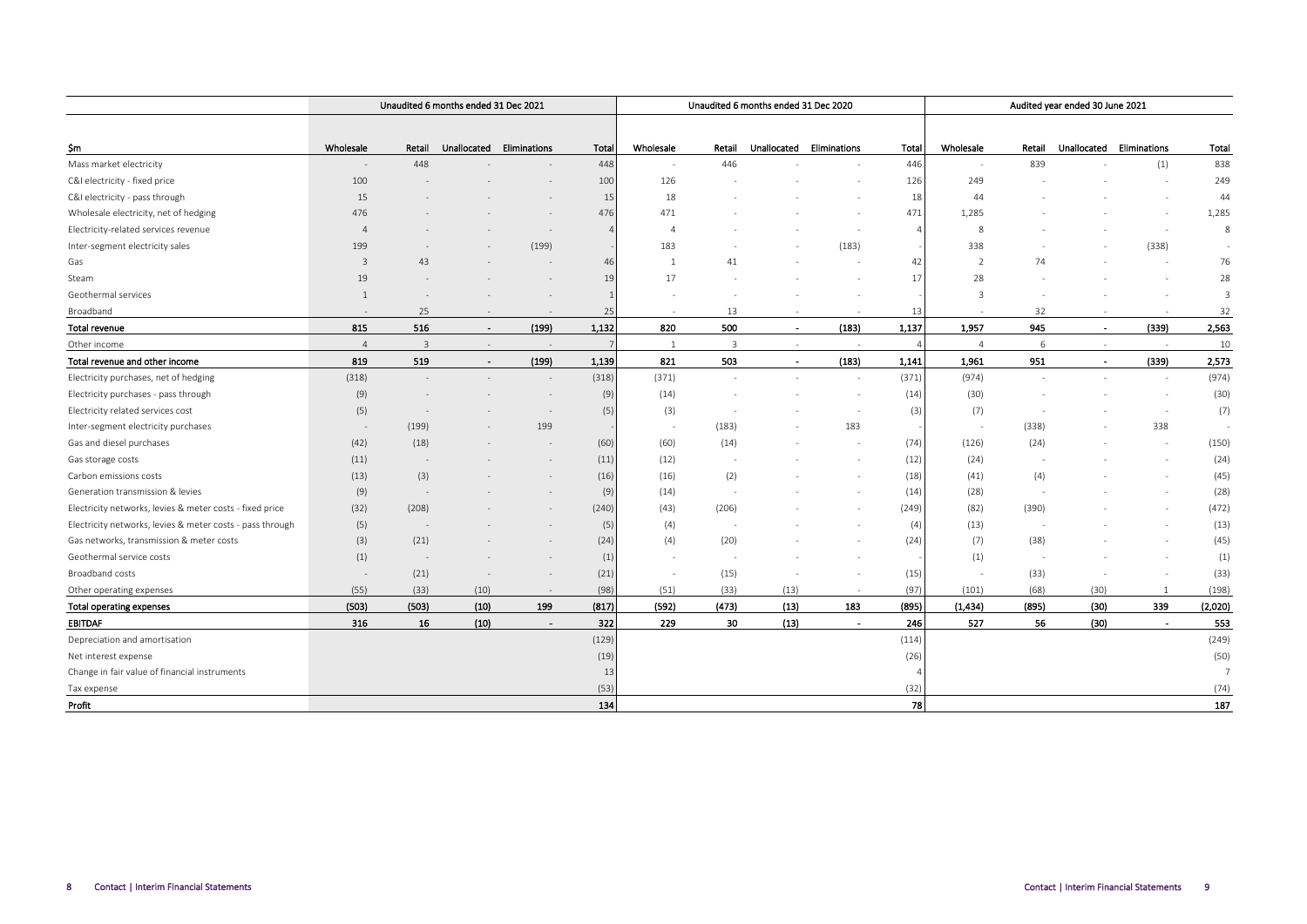|                                                           |                          |                | Unaudited 6 months ended 31 Dec 2021 |                          |       |                          |        | Unaudited 6 months ended 31 Dec 2020 |                          |                |                          |        | Audited year ended 30 June 2021 |                          |                |
|-----------------------------------------------------------|--------------------------|----------------|--------------------------------------|--------------------------|-------|--------------------------|--------|--------------------------------------|--------------------------|----------------|--------------------------|--------|---------------------------------|--------------------------|----------------|
|                                                           |                          |                |                                      |                          |       |                          |        |                                      |                          |                |                          |        |                                 |                          |                |
| Şm                                                        | Wholesale                | Retail         | Unallocated                          | Eliminations             | Total | Wholesale                | Retail |                                      | Unallocated Eliminations | Total          | Wholesale                | Retail |                                 | Unallocated Eliminations | Total          |
| Mass market electricity                                   |                          | 448            |                                      |                          | 448   |                          | 446    |                                      |                          | 446            | $\overline{\phantom{a}}$ | 839    |                                 | (1)                      | 838            |
| C&I electricity - fixed price                             | 100                      |                |                                      |                          | 100   | 126                      |        |                                      |                          | 126            | 249                      |        |                                 |                          | 249            |
| C&I electricity - pass through                            | 15                       |                |                                      |                          | 15    | 18                       |        |                                      |                          | 18             | 44                       |        |                                 |                          | 44             |
| Wholesale electricity, net of hedging                     | 476                      |                |                                      |                          | 476   | 471                      |        |                                      |                          | 471            | 1,285                    |        |                                 |                          | 1,285          |
| Electricity-related services revenue                      | $\Delta$                 |                |                                      |                          |       | $\overline{A}$           |        |                                      |                          | $\overline{A}$ | 8                        |        |                                 |                          | 8              |
| Inter-segment electricity sales                           | 199                      |                |                                      | (199)                    |       | 183                      |        |                                      | (183)                    |                | 338                      |        |                                 | (338)                    | $\sim$         |
| Gas                                                       | 3                        | 43             |                                      |                          | 46    |                          | 41     |                                      |                          | 42             | $\overline{2}$           | 74     |                                 |                          | 76             |
| Steam                                                     | 19                       |                |                                      |                          | 19    | 17                       |        |                                      |                          | 17             | 28                       |        |                                 |                          | 28             |
| Geothermal services                                       | $\mathbf{1}$             |                |                                      |                          |       |                          |        |                                      |                          |                | $\mathbf{3}$             |        |                                 |                          | $\overline{3}$ |
| Broadband                                                 |                          | 25             |                                      |                          | 25    | $\sim$                   | 13     |                                      |                          | 13             |                          | 32     | ÷,                              | $\sim$                   | 32             |
| <b>Total revenue</b>                                      | 815                      | 516            | $\sim$                               | (199)                    | 1,132 | 820                      | 500    | $\sim$                               | (183)                    | 1,137          | 1,957                    | 945    | $\blacksquare$                  | (339)                    | 2,563          |
| Other income                                              | $\overline{A}$           | $\overline{3}$ |                                      |                          | 7     | <sup>1</sup>             | 3      | $\sim$                               | $\sim$                   | $\overline{4}$ | $\overline{4}$           | 6      | $\overline{\phantom{a}}$        | $\sim$                   | 10             |
| Total revenue and other income                            | 819                      | 519            | $\sim$                               | (199)                    | 1,139 | 821                      | 503    | $\overline{\phantom{a}}$             | (183)                    | 1,141          | 1,961                    | 951    | $\overline{\phantom{a}}$        | (339)                    | 2,573          |
| Electricity purchases, net of hedging                     | (318)                    |                |                                      |                          | (318) | (371)                    |        |                                      | $\sim$                   | (371)          | (974)                    | $\sim$ | $\sim$                          |                          | (974)          |
| Electricity purchases - pass through                      | (9)                      |                |                                      |                          | (9)   | (14)                     |        |                                      | $\overline{\phantom{a}}$ | (14)           | (30)                     |        |                                 |                          | (30)           |
| Electricity related services cost                         | (5)                      |                |                                      |                          | (5)   | (3)                      |        |                                      |                          | (3)            | (7)                      |        |                                 |                          | (7)            |
| Inter-segment electricity purchases                       |                          | (199)          |                                      | 199                      |       | $\overline{\phantom{a}}$ | (183)  |                                      | 183                      |                | $\sim$                   | (338)  |                                 | 338                      |                |
| Gas and diesel purchases                                  | (42)                     | (18)           |                                      |                          | (60)  | (60)                     | (14)   |                                      |                          | (74)           | (126)                    | (24)   |                                 |                          | (150)          |
| Gas storage costs                                         | (11)                     |                |                                      |                          | (11)  | (12)                     |        |                                      |                          | (12)           | (24)                     |        |                                 |                          | (24)           |
| Carbon emissions costs                                    | (13)                     | (3)            |                                      |                          | (16)  | (16)                     | (2)    |                                      |                          | (18)           | (41)                     | (4)    |                                 |                          | (45)           |
| Generation transmission & levies                          | (9)                      |                |                                      |                          | (9)   | (14)                     |        |                                      |                          | (14)           | (28)                     |        |                                 |                          | (28)           |
| Electricity networks, levies & meter costs - fixed price  | (32)                     | (208)          |                                      |                          | (240) | (43)                     | (206)  |                                      |                          | (249)          | (82)                     | (390)  |                                 |                          | (472)          |
| Electricity networks, levies & meter costs - pass through | (5)                      |                |                                      |                          | (5)   | (4)                      |        |                                      |                          | (4)            | (13)                     |        |                                 |                          | (13)           |
| Gas networks, transmission & meter costs                  | (3)                      | (21)           |                                      |                          | (24)  | (4)                      | (20)   |                                      |                          | (24)           | (7)                      | (38)   |                                 |                          | (45)           |
| Geothermal service costs                                  | (1)                      |                |                                      |                          | (1)   |                          |        |                                      |                          |                | (1)                      |        |                                 |                          | (1)            |
| Broadband costs                                           | $\overline{\phantom{a}}$ | (21)           |                                      |                          | (21)  | $\overline{\phantom{a}}$ | (15)   |                                      | $\overline{\phantom{a}}$ | (15)           | $\sim$                   | (33)   |                                 |                          | (33)           |
| Other operating expenses                                  | (55)                     | (33)           | (10)                                 | $\overline{\phantom{a}}$ | (98)  | (51)                     | (33)   | (13)                                 | $\sim$                   | (97)           | (101)                    | (68)   | (30)                            | -1                       | (198)          |
| Total operating expenses                                  | (503)                    | (503)          | (10)                                 | 199                      | (817) | (592)                    | (473)  | (13)                                 | 183                      | (895)          | (1, 434)                 | (895)  | (30)                            | 339                      | (2,020)        |
| <b>EBITDAF</b>                                            | 316                      | 16             | (10)                                 | $\sim$                   | 322   | 229                      | 30     | (13)                                 | $\overline{a}$           | 246            | 527                      | 56     | (30)                            | $\sim$                   | 553            |
| Depreciation and amortisation                             |                          |                |                                      |                          | (129) |                          |        |                                      |                          | (114)          |                          |        |                                 |                          | (249)          |
| Net interest expense                                      |                          |                |                                      |                          | (19)  |                          |        |                                      |                          | (26)           |                          |        |                                 |                          | (50)           |
| Change in fair value of financial instruments             |                          |                |                                      |                          | 13    |                          |        |                                      |                          |                |                          |        |                                 |                          | 7              |
| Tax expense                                               |                          |                |                                      |                          | (53)  |                          |        |                                      |                          | (32)           |                          |        |                                 |                          | (74)           |
| Profit                                                    |                          |                |                                      |                          | 134   |                          |        |                                      |                          | 78             |                          |        |                                 |                          | 187            |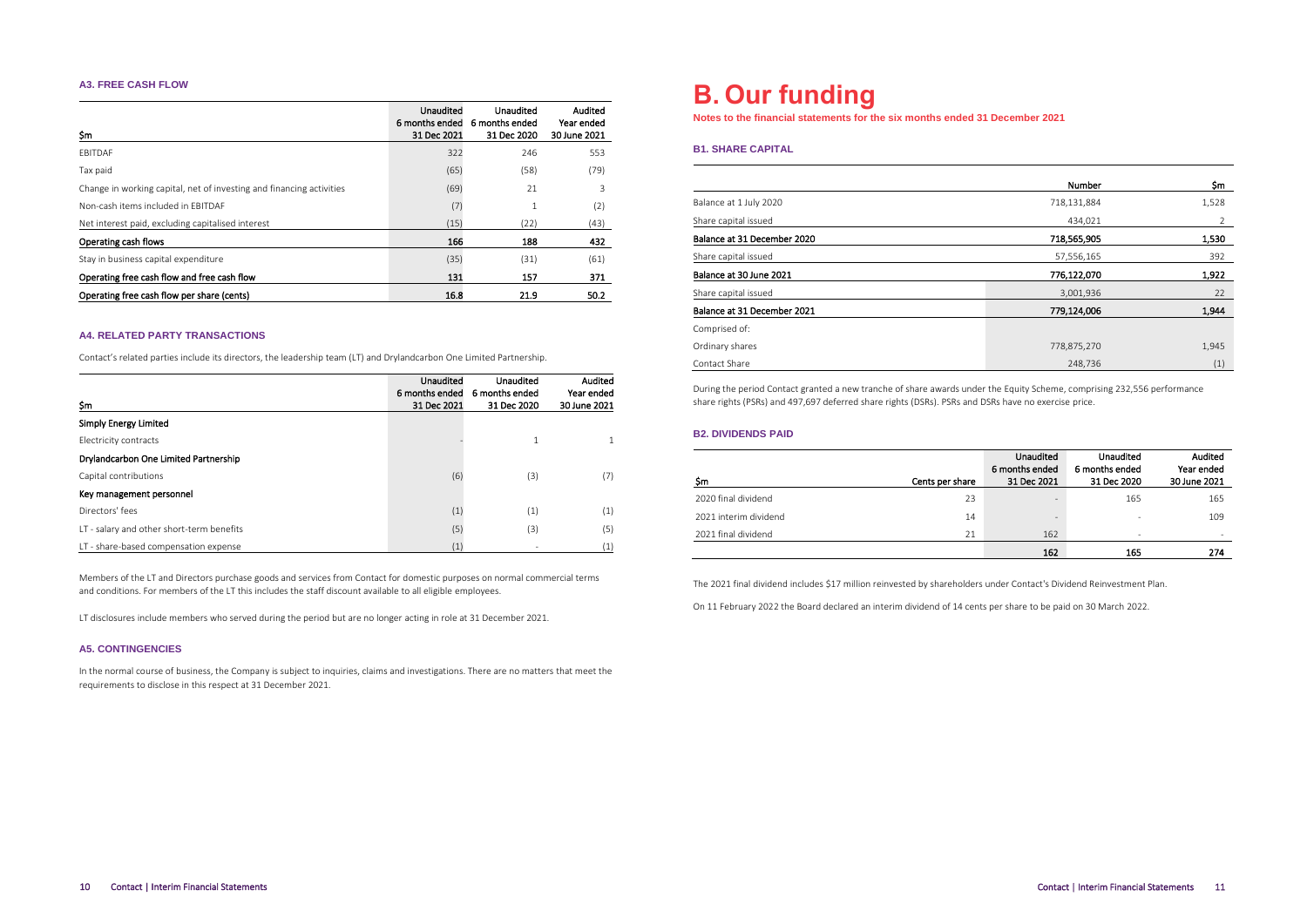### **A3. FREE CASH FLOW**

| \$m                                                                  | Unaudited<br>6 months ended<br>31 Dec 2021 | Unaudited<br>6 months ended<br>31 Dec 2020 | Audited<br>Year ended<br>30 June 2021 |
|----------------------------------------------------------------------|--------------------------------------------|--------------------------------------------|---------------------------------------|
| FBITDAF                                                              | 322                                        | 246                                        | 553                                   |
| Tax paid                                                             | (65)                                       | (58)                                       | (79)                                  |
| Change in working capital, net of investing and financing activities | (69)                                       | 21                                         | 3                                     |
| Non-cash items included in FBITDAF                                   | (7)                                        | 1                                          | (2)                                   |
| Net interest paid, excluding capitalised interest                    | (15)                                       | (22)                                       | (43)                                  |
| Operating cash flows                                                 | 166                                        | 188                                        | 432                                   |
| Stay in business capital expenditure                                 | (35)                                       | (31)                                       | (61)                                  |
| Operating free cash flow and free cash flow                          | 131                                        | 157                                        | 371                                   |
| Operating free cash flow per share (cents)                           | 16.8                                       | 21.9                                       | 50.2                                  |

### **A4. RELATED PARTY TRANSACTIONS**

Contact's related parties include its directors, the leadership team (LT) and Drylandcarbon One Limited Partnership.

|                                           | Unaudited                     | Unaudited                     | Audited                    |
|-------------------------------------------|-------------------------------|-------------------------------|----------------------------|
| Şm                                        | 6 months ended<br>31 Dec 2021 | 6 months ended<br>31 Dec 2020 | Year ended<br>30 June 2021 |
| <b>Simply Energy Limited</b>              |                               |                               |                            |
| Electricity contracts                     |                               |                               |                            |
| Drylandcarbon One Limited Partnership     |                               |                               |                            |
| Capital contributions                     | (6)                           | (3)                           | (7)                        |
| Key management personnel                  |                               |                               |                            |
| Directors' fees                           | (1)                           | (1)                           | (1)                        |
| LT - salary and other short-term benefits | (5)                           | (3)                           | (5)                        |
| LT - share-based compensation expense     | (1)                           |                               | (1)                        |

Members of the LT and Directors purchase goods and services from Contact for domestic purposes on normal commercial terms and conditions. For members of the LT this includes the staff discount available to all eligible employees.

LT disclosures include members who served during the period but are no longer acting in role at 31 December 2021.

### **A5. CONTINGENCIES**

In the normal course of business, the Company is subject to inquiries, claims and investigations. There are no matters that meet the requirements to disclose in this respect at 31 December 2021.

### **B. Our funding**

**Notes to the financial statements for the six months ended 31 December 2021**

### **B1. SHARE CAPITAL**

|                             | Number      | \$m   |
|-----------------------------|-------------|-------|
| Balance at 1 July 2020      | 718,131,884 | 1,528 |
| Share capital issued        | 434.021     | 2     |
| Balance at 31 December 2020 | 718,565,905 | 1,530 |
| Share capital issued        | 57,556,165  | 392   |
| Balance at 30 June 2021     | 776.122,070 | 1,922 |
| Share capital issued        | 3,001,936   | 22    |
| Balance at 31 December 2021 | 779,124,006 | 1,944 |
| Comprised of:               |             |       |
| Ordinary shares             | 778,875,270 | 1,945 |
| Contact Share               | 248.736     | (1)   |

During the period Contact granted a new tranche of share awards under the Equity Scheme, comprising 232,556 performance share rights (PSRs) and 497,697 deferred share rights (DSRs). PSRs and DSRs have no exercise price.

### **B2. DIVIDENDS PAID**

| \$m                   | Cents per share | Unaudited<br>6 months ended<br>31 Dec 2021 | Unaudited<br>6 months ended<br>31 Dec 2020 | Audited<br>Year ended<br>30 June 2021 |
|-----------------------|-----------------|--------------------------------------------|--------------------------------------------|---------------------------------------|
| 2020 final dividend   | 23              | $\qquad \qquad =$                          | 165                                        | 165                                   |
| 2021 interim dividend | 14              | $\overline{\phantom{a}}$                   | ۰                                          | 109                                   |
| 2021 final dividend   | 21              | 162                                        | ٠                                          | $\overline{\phantom{a}}$              |
|                       |                 | 162                                        | 165                                        | 274                                   |

The 2021 final dividend includes \$17 million reinvested by shareholders under Contact's Dividend Reinvestment Plan.

On 11 February 2022 the Board declared an interim dividend of 14 cents per share to be paid on 30 March 2022.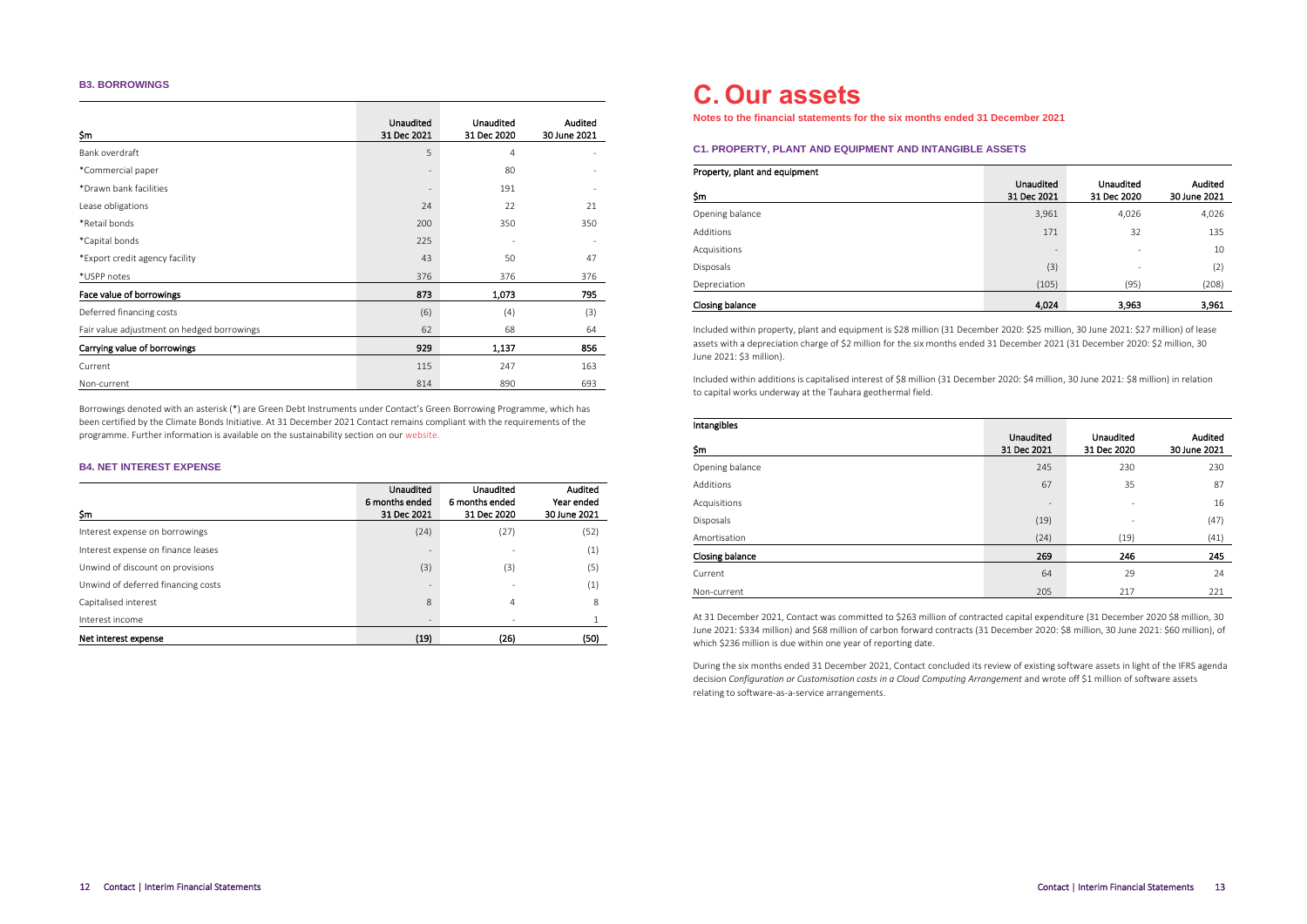### **B3. BORROWINGS**

| \$m                                        | Unaudited<br>31 Dec 2021 | <b>Unaudited</b><br>31 Dec 2020 | Audited<br>30 June 2021 |
|--------------------------------------------|--------------------------|---------------------------------|-------------------------|
| Bank overdraft                             | 5                        | $\overline{4}$                  |                         |
| *Commercial paper                          | $\qquad \qquad =$        | 80                              |                         |
| *Drawn bank facilities                     | $\qquad \qquad =$        | 191                             |                         |
| Lease obligations                          | 24                       | 22                              | 21                      |
| *Retail bonds                              | 200                      | 350                             | 350                     |
| *Capital bonds                             | 225                      |                                 |                         |
| *Export credit agency facility             | 43                       | 50                              | 47                      |
| *USPP notes                                | 376                      | 376                             | 376                     |
| Face value of borrowings                   | 873                      | 1,073                           | 795                     |
| Deferred financing costs                   | (6)                      | (4)                             | (3)                     |
| Fair value adjustment on hedged borrowings | 62                       | 68                              | 64                      |
| Carrying value of borrowings               | 929                      | 1,137                           | 856                     |
| Current                                    | 115                      | 247                             | 163                     |
| Non-current                                | 814                      | 890                             | 693                     |

Borrowings denoted with an asterisk (\*) are Green Debt Instruments under Contact's Green Borrowing Programme, which has been certified by the Climate Bonds Initiative. At 31 December 2021 Contact remains compliant with the requirements of the programme. Further information is available on the sustainability section on ou[r website.](https://contact.co.nz/aboutus/sustainability/financial-sustainability)

### **B4. NET INTEREST EXPENSE**

| \$m                                | Unaudited<br>6 months ended<br>31 Dec 2021 | Unaudited<br>6 months ended<br>31 Dec 2020 | Audited<br>Year ended<br>30 June 2021 |
|------------------------------------|--------------------------------------------|--------------------------------------------|---------------------------------------|
| Interest expense on borrowings     | (24)                                       | (27)                                       | (52)                                  |
| Interest expense on finance leases | $\overline{\phantom{a}}$                   |                                            | (1)                                   |
| Unwind of discount on provisions   | (3)                                        | (3)                                        | (5)                                   |
| Unwind of deferred financing costs | $\overline{\phantom{a}}$                   | ۰                                          | (1)                                   |
| Capitalised interest               | 8                                          | 4                                          | 8                                     |
| Interest income                    | $\overline{\phantom{a}}$                   |                                            |                                       |
| Net interest expense               | (19)                                       | (26)                                       | (50)                                  |

### **C. Our assets**

**Notes to the financial statements for the six months ended 31 December 2021**

### **C1. PROPERTY, PLANT AND EQUIPMENT AND INTANGIBLE ASSETS**

| Property, plant and equipment |                                 |                          |                         |
|-------------------------------|---------------------------------|--------------------------|-------------------------|
| \$m                           | <b>Unaudited</b><br>31 Dec 2021 | Unaudited<br>31 Dec 2020 | Audited<br>30 June 2021 |
| Opening balance               | 3,961                           | 4,026                    | 4,026                   |
| Additions                     | 171                             | 32                       | 135                     |
| Acquisitions                  | $\qquad \qquad =$               | ٠                        | 10                      |
| <b>Disposals</b>              | (3)                             | ٠                        | (2)                     |
| Depreciation                  | (105)                           | (95)                     | (208)                   |
| Closing balance               | 4,024                           | 3,963                    | 3,961                   |

Included within property, plant and equipment is \$28 million (31 December 2020: \$25 million, 30 June 2021: \$27 million) of lease assets with a depreciation charge of \$2 million for the six months ended 31 December 2021 (31 December 2020: \$2 million, 30 June 2021: \$3 million).

Included within additions is capitalised interest of \$8 million (31 December 2020: \$4 million, 30 June 2021: \$8 million) in relation to capital works underway at the Tauhara geothermal field.

| Intangibles     |                          |                          |                         |
|-----------------|--------------------------|--------------------------|-------------------------|
| \$m             | Unaudited<br>31 Dec 2021 | Unaudited<br>31 Dec 2020 | Audited<br>30 June 2021 |
| Opening balance | 245                      | 230                      | 230                     |
| Additions       | 67                       | 35                       | 87                      |
| Acquisitions    | $\overline{\phantom{m}}$ | ٠                        | 16                      |
| Disposals       | (19)                     | ٠                        | (47)                    |
| Amortisation    | (24)                     | (19)                     | (41)                    |
| Closing balance | 269                      | 246                      | 245                     |
| Current         | 64                       | 29                       | 24                      |
| Non-current     | 205                      | 217                      | 221                     |

At 31 December 2021, Contact was committed to \$263 million of contracted capital expenditure (31 December 2020 \$8 million, 30 June 2021: \$334 million) and \$68 million of carbon forward contracts (31 December 2020: \$8 million, 30 June 2021: \$60 million), of which \$236 million is due within one year of reporting date.

During the six months ended 31 December 2021, Contact concluded its review of existing software assets in light of the IFRS agenda decision *Configuration or Customisation costs in a Cloud Computing Arrangement* and wrote off \$1 million of software assets relating to software-as-a-service arrangements.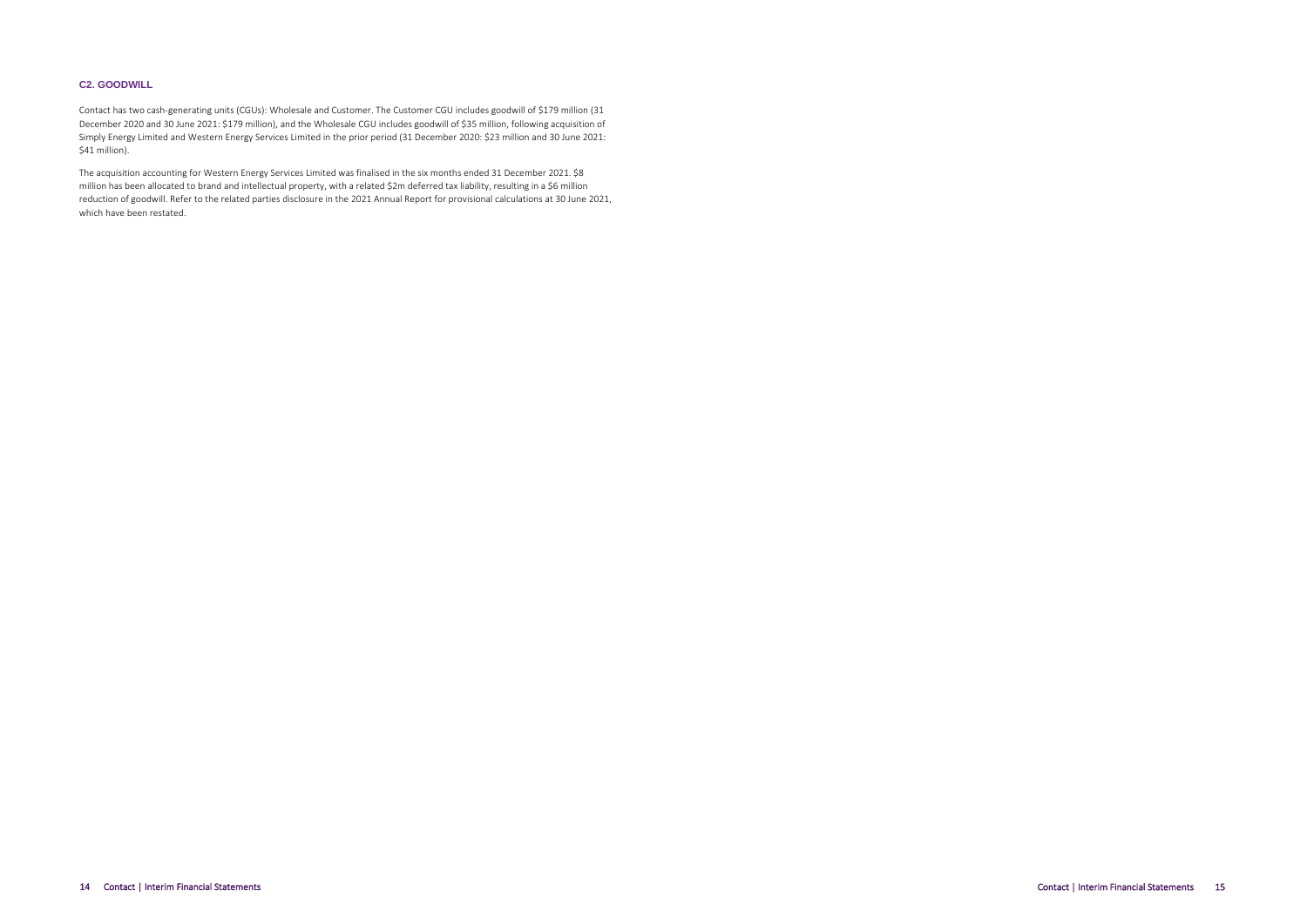### **C2. GOODWILL**

Contact has two cash-generating units (CGUs): Wholesale and Customer. The Customer CGU includes goodwill of \$179 million (31 December 2020 and 30 June 2021: \$179 million), and the Wholesale CGU includes goodwill of \$35 million, following acquisition of Simply Energy Limited and Western Energy Services Limited in the prior period (31 December 2020: \$23 million and 30 June 2021: \$41 million).

The acquisition accounting for Western Energy Services Limited was finalised in the six months ended 31 December 2021. \$8 million has been allocated to brand and intellectual property, with a related \$2m deferred tax liability, resulting in a \$6 million reduction of goodwill. Refer to the related parties disclosure in the 2021 Annual Report for provisional calculations at 30 June 2021, which have been restated.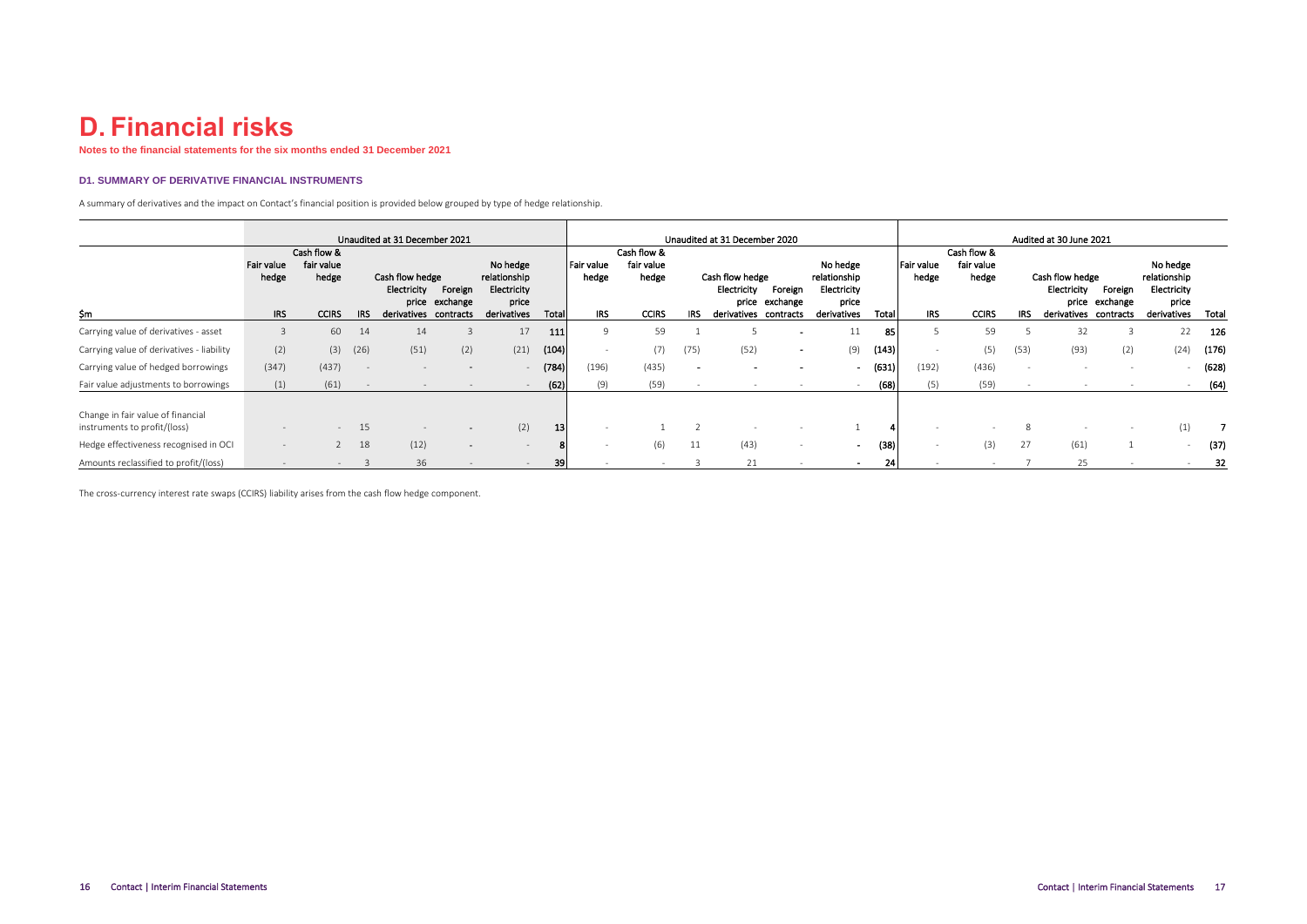## **D. Financial risks**

**Notes to the financial statements for the six months ended 31 December 2021**

### **D1. SUMMARY OF DERIVATIVE FINANCIAL INSTRUMENTS**

A summary of derivatives and the impact on Contact's financial position is provided below grouped by type of hedge relationship.

|                                                                   | Unaudited at 31 December 2021            |                                                    |              |                                               |                                        |                                                                 |       |                             | Unaudited at 31 December 2020                      |                          |                                               |                                        |                                                                 |       |                                          |                                                    | Audited at 30 June 2021 |                                               |                                        |                                                                 |       |  |  |  |
|-------------------------------------------------------------------|------------------------------------------|----------------------------------------------------|--------------|-----------------------------------------------|----------------------------------------|-----------------------------------------------------------------|-------|-----------------------------|----------------------------------------------------|--------------------------|-----------------------------------------------|----------------------------------------|-----------------------------------------------------------------|-------|------------------------------------------|----------------------------------------------------|-------------------------|-----------------------------------------------|----------------------------------------|-----------------------------------------------------------------|-------|--|--|--|
| Sm                                                                | <b>Fair value</b><br>hedge<br><b>IRS</b> | Cash flow &<br>fair value<br>hedge<br><b>CCIRS</b> | <b>IRS</b>   | Cash flow hedge<br>Electricity<br>derivatives | Foreign<br>price exchange<br>contracts | No hedge<br>relationship<br>Electricity<br>price<br>derivatives | Total | Fair value<br>hedge<br>IRS. | Cash flow &<br>fair value<br>hedge<br><b>CCIRS</b> | IRS                      | Cash flow hedge<br>Electricity<br>derivatives | Foreign<br>price exchange<br>contracts | No hedge<br>relationship<br>Electricity<br>price<br>derivatives | Total | <b>Fair value</b><br>hedge<br><b>IRS</b> | Cash flow &<br>fair value<br>hedge<br><b>CCIRS</b> | IRS                     | Cash flow hedge<br>Electricity<br>derivatives | Foreign<br>price exchange<br>contracts | No hedge<br>relationship<br>Electricity<br>price<br>derivatives | Total |  |  |  |
| Carrying value of derivatives - asset                             | $\overline{3}$                           | 60                                                 | 14           | 14                                            |                                        | 17                                                              | 111   | $\mathbf{Q}$                | 59                                                 |                          |                                               |                                        | 11                                                              | 85    |                                          | 59                                                 |                         | 32                                            |                                        | 22                                                              | 126   |  |  |  |
| Carrying value of derivatives - liability                         | (2)                                      |                                                    | $(3)$ $(26)$ | (51)                                          | (2)                                    | (21)                                                            | (104) | $\overline{\phantom{a}}$    | (7)                                                | (75)                     | (52)                                          | $\sim$                                 | (9)                                                             | (143) |                                          | (5)                                                | (53)                    | (93)                                          | (2)                                    | (24)                                                            | (176) |  |  |  |
| Carrying value of hedged borrowings                               | (347)                                    | (437)                                              |              |                                               | $\sim$                                 |                                                                 | (784) | (196)                       | (435)                                              | $\overline{\phantom{a}}$ |                                               |                                        | $\overline{\phantom{0}}$                                        | (631) | (192)                                    | (436)                                              |                         |                                               |                                        |                                                                 | (628) |  |  |  |
| Fair value adjustments to borrowings                              | (1)                                      | (61)                                               |              |                                               |                                        |                                                                 | (62)  | (9)                         | (59)                                               |                          |                                               |                                        |                                                                 | (68)  | (5)                                      | (59)                                               |                         |                                               |                                        |                                                                 | (64)  |  |  |  |
| Change in fair value of financial<br>instruments to profit/(loss) | $\overline{\phantom{m}}$                 | $\sim$                                             | 15           |                                               |                                        | (2)                                                             | 13    |                             |                                                    |                          |                                               |                                        |                                                                 |       |                                          |                                                    |                         |                                               |                                        | (1)                                                             |       |  |  |  |
| Hedge effectiveness recognised in OCI                             | $\overline{\phantom{m}}$                 |                                                    | 18           | (12)                                          | $\sim$                                 |                                                                 |       |                             | (6)                                                | 11                       | (43)                                          |                                        | $\overline{\phantom{0}}$                                        | (38)  | $\overline{\phantom{a}}$                 | (3)                                                | 27                      | (61)                                          |                                        |                                                                 | (37)  |  |  |  |
| Amounts reclassified to profit/(loss)                             |                                          |                                                    |              | 36                                            |                                        |                                                                 | 39    |                             |                                                    |                          | 21                                            |                                        |                                                                 | 24    |                                          |                                                    |                         | 25                                            |                                        |                                                                 | 32    |  |  |  |

The cross-currency interest rate swaps (CCIRS) liability arises from the cash flow hedge component.